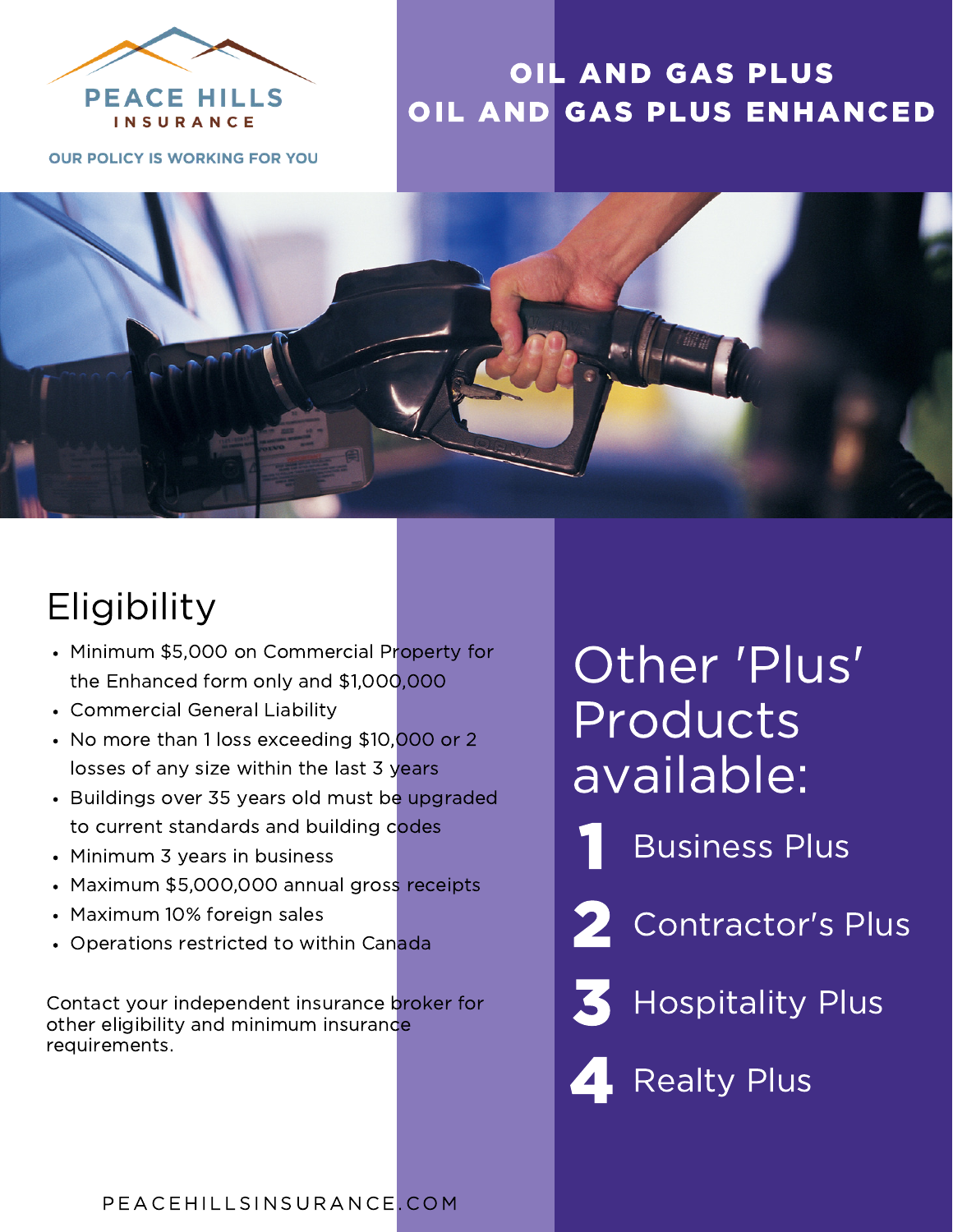

## OIL AND GAS PLUS OIL AND GAS PLUS ENHANCED

**OUR POLICY IS WORKING FOR YOU** 



## **Eligibility**

- Minimum \$5,000 on Commercial Property for the Enhanced form only and \$1,000,000
- Commercial General Liability
- No more than 1 loss exceeding \$10,000 or 2 losses of any size within the last 3 years
- Buildings over 35 years old must be upgraded to current standards and building codes
- Minimum 3 years in business
- Maximum \$5,000,000 annual gross receipts
- Maximum 10% foreign sales
- Operations restricted to within Canada

Contact your independent insurance broker for **Hospitality Plus** other eligibility and minimum insurance requirements.

# Other 'Plus' Products available:

- 1 Business Plus
- 2 Contractor's Plus
- 3

**4** Realty Plus

#### P E A C E HILLSIN SURANCE. COM